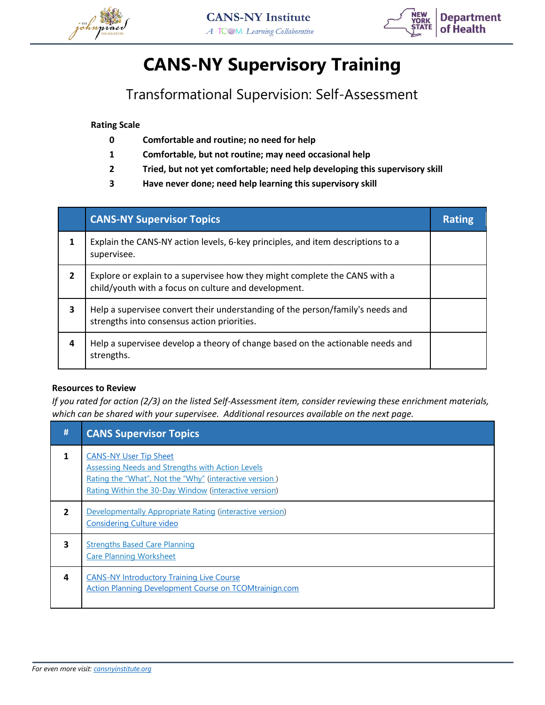



## **CANS-NY Supervisory Training**

Transformational Supervision: Self-Assessment

**Rating Scale**

- **0 Comfortable and routine; no need for help**
- **1 Comfortable, but not routine; may need occasional help**
- **2 Tried, but not yet comfortable; need help developing this supervisory skill**
- **3 Have never done; need help learning this supervisory skill**

|                | <b>CANS-NY Supervisor Topics</b>                                                                                                   | <b>Rating</b> |
|----------------|------------------------------------------------------------------------------------------------------------------------------------|---------------|
|                | Explain the CANS-NY action levels, 6-key principles, and item descriptions to a<br>supervisee.                                     |               |
| $\overline{2}$ | Explore or explain to a supervisee how they might complete the CANS with a<br>child/youth with a focus on culture and development. |               |
| 3              | Help a supervisee convert their understanding of the person/family's needs and<br>strengths into consensus action priorities.      |               |
| 4              | Help a supervisee develop a theory of change based on the actionable needs and<br>strengths.                                       |               |

#### **Resources to Review**

*If you rated for action (2/3) on the listed Self-Assessment item, consider reviewing these enrichment materials, which can be shared with your supervisee. Additional resources available on the next page.*

| #            | <b>CANS Supervisor Topics</b>                                                                                                                                                                               |
|--------------|-------------------------------------------------------------------------------------------------------------------------------------------------------------------------------------------------------------|
|              | <b>CANS-NY User Tip Sheet</b><br><b>Assessing Needs and Strengths with Action Levels</b><br>Rating the "What", Not the "Why" (interactive version)<br>Rating Within the 30-Day Window (interactive version) |
| $\mathbf{z}$ | Developmentally Appropriate Rating (interactive version)<br><b>Considering Culture video</b>                                                                                                                |
| 3            | <b>Strengths Based Care Planning</b><br><b>Care Planning Worksheet</b>                                                                                                                                      |
| 4            | <b>CANS-NY Introductory Training Live Course</b><br><b>Action Planning Development Course on TCOMtrainign.com</b>                                                                                           |